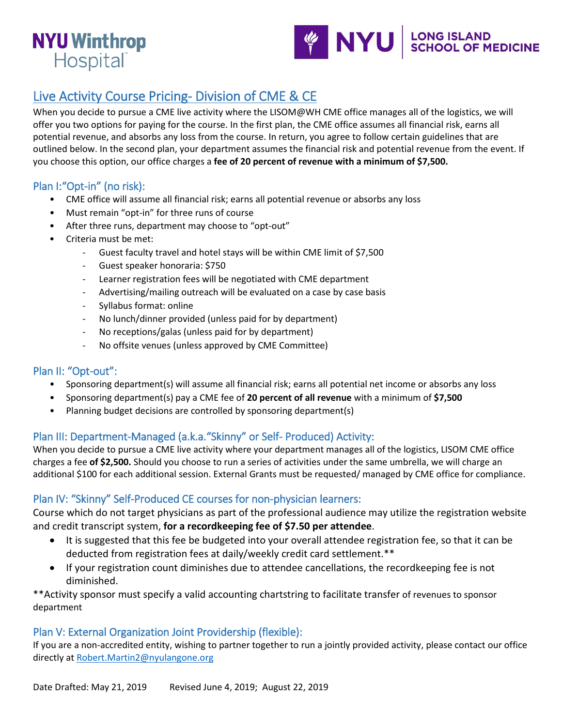# **NYU Winthrop** Hospital



# Live Activity Course Pricing- Division of CME & CE

When you decide to pursue a CME live activity where the LISOM@WH CME office manages all of the logistics, we will offer you two options for paying for the course. In the first plan, the CME office assumes all financial risk, earns all potential revenue, and absorbs any loss from the course. In return, you agree to follow certain guidelines that are outlined below. In the second plan, your department assumes the financial risk and potential revenue from the event. If you choose this option, our office charges a **fee of 20 percent of revenue with a minimum of \$7,500.** 

## Plan I:"Opt-in" (no risk):

- CME office will assume all financial risk; earns all potential revenue or absorbs any loss
- Must remain "opt-in" for three runs of course
- After three runs, department may choose to "opt-out"
- Criteria must be met:
	- Guest faculty travel and hotel stays will be within CME limit of \$7,500
	- Guest speaker honoraria: \$750
	- Learner registration fees will be negotiated with CME department
	- Advertising/mailing outreach will be evaluated on a case by case basis
	- Syllabus format: online
	- No lunch/dinner provided (unless paid for by department)
	- No receptions/galas (unless paid for by department)
	- No offsite venues (unless approved by CME Committee)

# Plan II: "Opt-out":

- Sponsoring department(s) will assume all financial risk; earns all potential net income or absorbs any loss
- Sponsoring department(s) pay a CME fee of **20 percent of all revenue** with a minimum of **\$7,500**
- Planning budget decisions are controlled by sponsoring department(s)

### Plan III: Department-Managed (a.k.a."Skinny" or Self- Produced) Activity:

When you decide to pursue a CME live activity where your department manages all of the logistics, LISOM CME office charges a fee **of \$2,500.** Should you choose to run a series of activities under the same umbrella, we will charge an additional \$100 for each additional session. External Grants must be requested/ managed by CME office for compliance.

### Plan IV: "Skinny" Self-Produced CE courses for non-physician learners:

Course which do not target physicians as part of the professional audience may utilize the registration website and credit transcript system, **for a recordkeeping fee of \$7.50 per attendee**.

- It is suggested that this fee be budgeted into your overall attendee registration fee, so that it can be deducted from registration fees at daily/weekly credit card settlement.\*\*
- If your registration count diminishes due to attendee cancellations, the recordkeeping fee is not diminished.

\*\*Activity sponsor must specify a valid accounting chartstring to facilitate transfer of revenues to sponsor department

### Plan V: External Organization Joint Providership (flexible):

If you are a non-accredited entity, wishing to partner together to run a jointly provided activity, please contact our office directly at [Robert.Martin2@nyulangone.org](mailto:Robert.Martin2@nyulangone.org)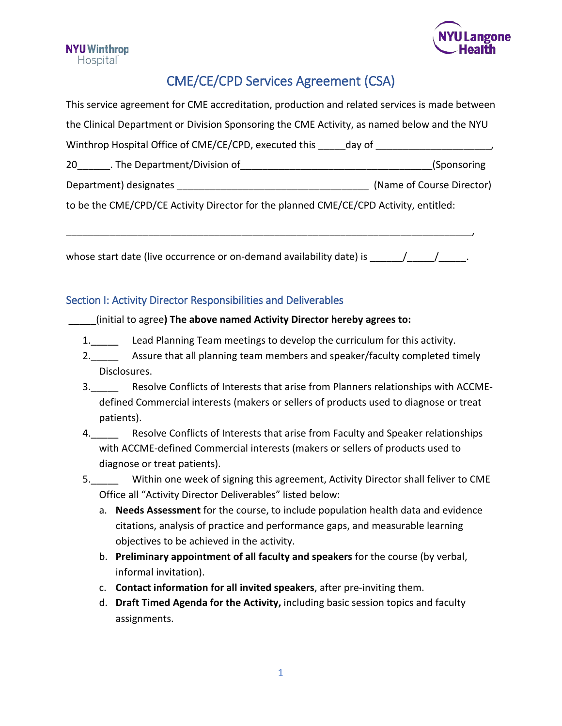



# CME/CE/CPD Services Agreement (CSA)

| This service agreement for CME accreditation, production and related services is made between |  |  |  |
|-----------------------------------------------------------------------------------------------|--|--|--|
| the Clinical Department or Division Sponsoring the CME Activity, as named below and the NYU   |  |  |  |
| Winthrop Hospital Office of CME/CE/CPD, executed this day of                                  |  |  |  |
| (Sponsoring)                                                                                  |  |  |  |
|                                                                                               |  |  |  |
| (Name of Course Director)                                                                     |  |  |  |
|                                                                                               |  |  |  |

whose start date (live occurrence or on-demand availability date) is  $\frac{1}{\sqrt{1-\frac{1}{n}}$ .

\_\_\_\_\_\_\_\_\_\_\_\_\_\_\_\_\_\_\_\_\_\_\_\_\_\_\_\_\_\_\_\_\_\_\_\_\_\_\_\_\_\_\_\_\_\_\_\_\_\_\_\_\_\_\_\_\_\_\_\_\_\_\_\_\_\_\_\_\_\_\_\_\_\_,

### Section I: Activity Director Responsibilities and Deliverables

#### \_\_\_\_\_(initial to agree**) The above named Activity Director hereby agrees to:**

- 1. Lead Planning Team meetings to develop the curriculum for this activity.
- 2. \_\_\_\_\_ Assure that all planning team members and speaker/faculty completed timely Disclosures.
- 3.\_\_\_\_\_ Resolve Conflicts of Interests that arise from Planners relationships with ACCMEdefined Commercial interests (makers or sellers of products used to diagnose or treat patients).
- 4. Resolve Conflicts of Interests that arise from Faculty and Speaker relationships with ACCME-defined Commercial interests (makers or sellers of products used to diagnose or treat patients).
- 5.\_\_\_\_\_ Within one week of signing this agreement, Activity Director shall feliver to CME Office all "Activity Director Deliverables" listed below:
	- a. **Needs Assessment** for the course, to include population health data and evidence citations, analysis of practice and performance gaps, and measurable learning objectives to be achieved in the activity.
	- b. **Preliminary appointment of all faculty and speakers** for the course (by verbal, informal invitation).
	- c. **Contact information for all invited speakers**, after pre-inviting them.
	- d. **Draft Timed Agenda for the Activity,** including basic session topics and faculty assignments.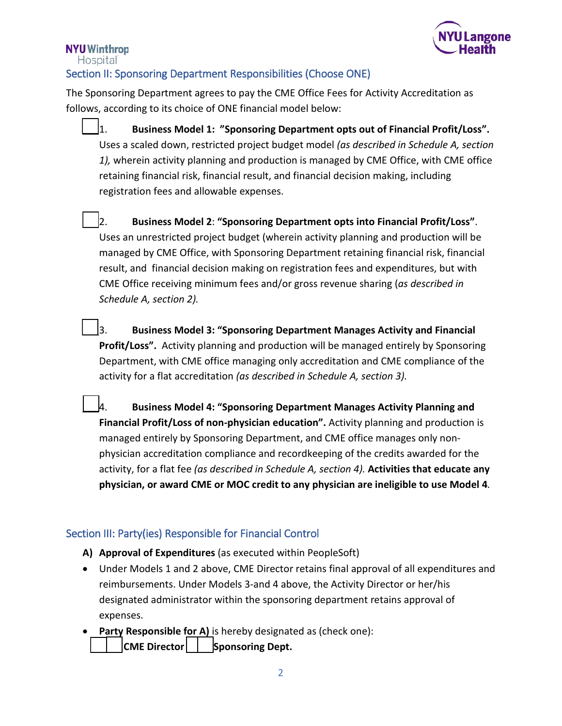

# **NYU Winthrop**

Hospital

# Section II: Sponsoring Department Responsibilities (Choose ONE)

The Sponsoring Department agrees to pay the CME Office Fees for Activity Accreditation as follows, according to its choice of ONE financial model below:

- \_\_\_1. **Business Model 1: "Sponsoring Department opts out of Financial Profit/Loss".** Uses a scaled down, restricted project budget model *(as described in Schedule A, section 1),* wherein activity planning and production is managed by CME Office, with CME office retaining financial risk, financial result, and financial decision making, including registration fees and allowable expenses.
- \_\_\_2. **Business Model 2**: **"Sponsoring Department opts into Financial Profit/Loss"**. Uses an unrestricted project budget (wherein activity planning and production will be managed by CME Office, with Sponsoring Department retaining financial risk, financial result, and financial decision making on registration fees and expenditures, but with CME Office receiving minimum fees and/or gross revenue sharing (*as described in Schedule A, section 2).*
- \_\_\_3. **Business Model 3: "Sponsoring Department Manages Activity and Financial Profit/Loss".** Activity planning and production will be managed entirely by Sponsoring Department, with CME office managing only accreditation and CME compliance of the activity for a flat accreditation *(as described in Schedule A, section 3).*
- \_\_\_4. **Business Model 4: "Sponsoring Department Manages Activity Planning and Financial Profit/Loss of non-physician education".** Activity planning and production is managed entirely by Sponsoring Department, and CME office manages only nonphysician accreditation compliance and recordkeeping of the credits awarded for the activity, for a flat fee *(as described in Schedule A, section 4).* **Activities that educate any physician, or award CME or MOC credit to any physician are ineligible to use Model 4***.*

# Section III: Party(ies) Responsible for Financial Control

- **A) Approval of Expenditures** (as executed within PeopleSoft)
- Under Models 1 and 2 above, CME Director retains final approval of all expenditures and reimbursements. Under Models 3-and 4 above, the Activity Director or her/his designated administrator within the sponsoring department retains approval of expenses.
- Party Responsible for A) is hereby designated as (check one): **CME Director | | Sponsoring Dept.**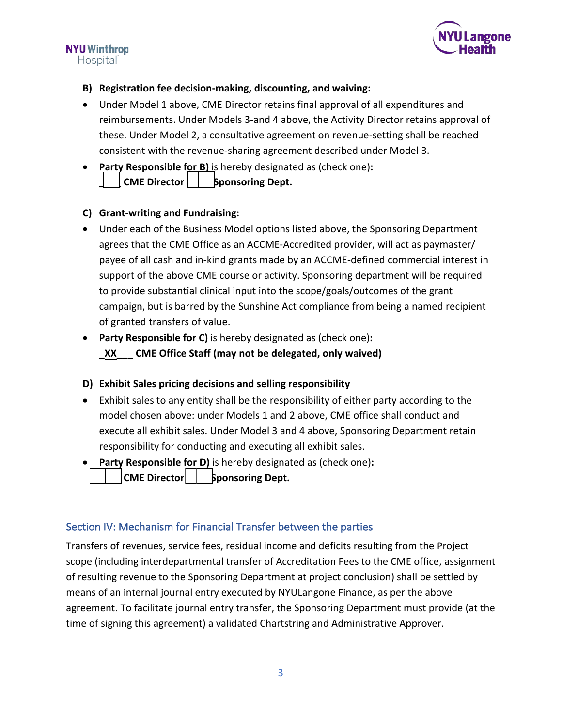

#### **NYU Winthrop Hospital**

## **B) Registration fee decision-making, discounting, and waiving:**

- Under Model 1 above, CME Director retains final approval of all expenditures and reimbursements. Under Models 3-and 4 above, the Activity Director retains approval of these. Under Model 2, a consultative agreement on revenue-setting shall be reached consistent with the revenue-sharing agreement described under Model 3.
- **Party Responsible for B)** is hereby designated as (check one)**:** CME Director | | **Sponsoring Dept.**

## **C) Grant-writing and Fundraising:**

- Under each of the Business Model options listed above, the Sponsoring Department agrees that the CME Office as an ACCME-Accredited provider, will act as paymaster/ payee of all cash and in-kind grants made by an ACCME-defined commercial interest in support of the above CME course or activity. Sponsoring department will be required to provide substantial clinical input into the scope/goals/outcomes of the grant campaign, but is barred by the Sunshine Act compliance from being a named recipient of granted transfers of value.
- **Party Responsible for C)** is hereby designated as (check one)**: \_XX\_\_\_ CME Office Staff (may not be delegated, only waived)**

# **D) Exhibit Sales pricing decisions and selling responsibility**

- Exhibit sales to any entity shall be the responsibility of either party according to the model chosen above: under Models 1 and 2 above, CME office shall conduct and execute all exhibit sales. Under Model 3 and 4 above, Sponsoring Department retain responsibility for conducting and executing all exhibit sales.
- **Party Responsible for D)** is hereby designated as (check one)**:** CME Director | **b** sponsoring Dept.

# Section IV: Mechanism for Financial Transfer between the parties

Transfers of revenues, service fees, residual income and deficits resulting from the Project scope (including interdepartmental transfer of Accreditation Fees to the CME office, assignment of resulting revenue to the Sponsoring Department at project conclusion) shall be settled by means of an internal journal entry executed by NYULangone Finance, as per the above agreement. To facilitate journal entry transfer, the Sponsoring Department must provide (at the time of signing this agreement) a validated Chartstring and Administrative Approver.